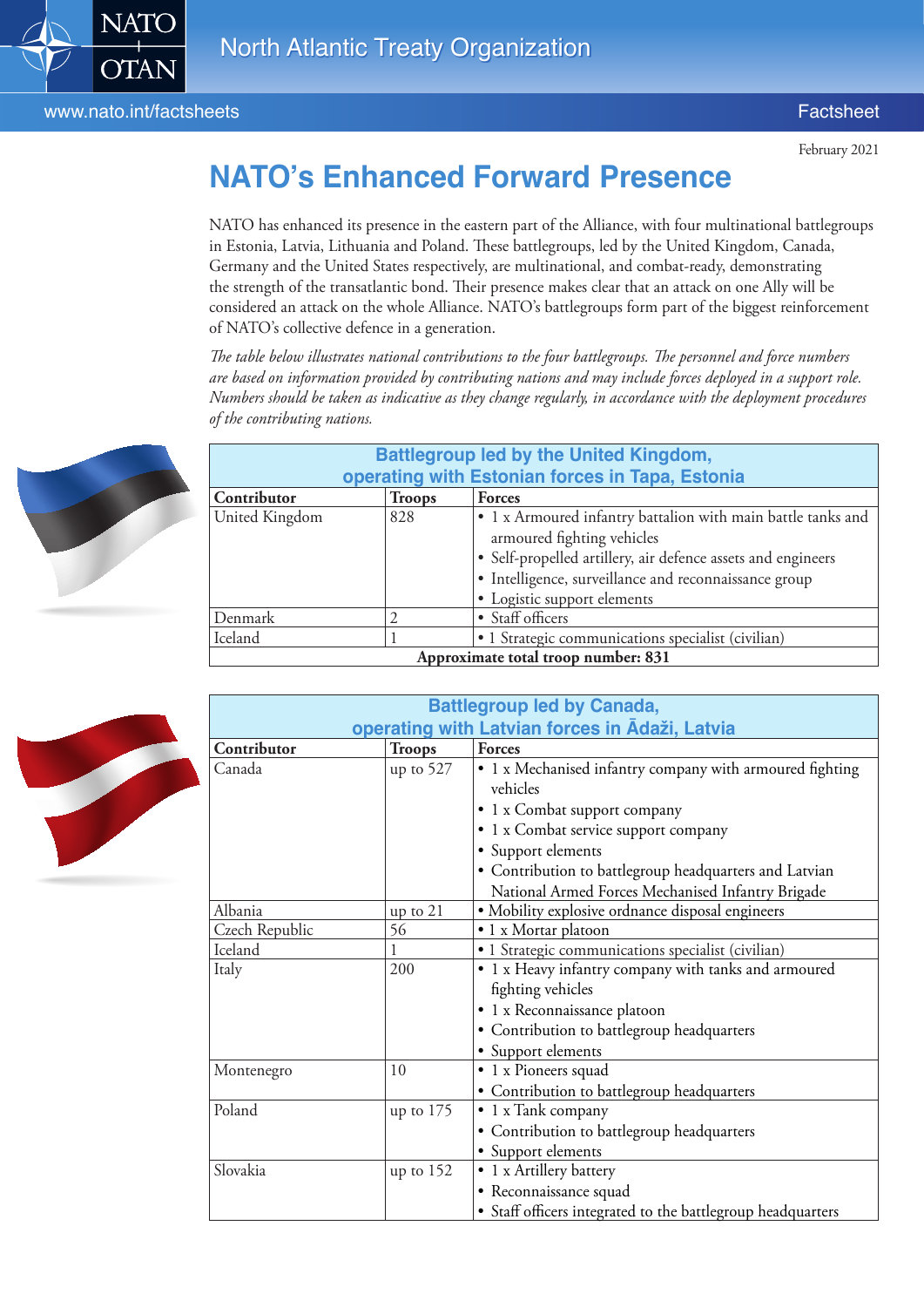

## www.nato.int/factsheets Factsheet Factsheet

February 2021

## **NATO's Enhanced Forward Presence**

NATO has enhanced its presence in the eastern part of the Alliance, with four multinational battlegroups in Estonia, Latvia, Lithuania and Poland. These battlegroups, led by the United Kingdom, Canada, Germany and the United States respectively, are multinational, and combat-ready, demonstrating the strength of the transatlantic bond. Their presence makes clear that an attack on one Ally will be considered an attack on the whole Alliance. NATO's battlegroups form part of the biggest reinforcement of NATO's collective defence in a generation.

*The table below illustrates national contributions to the four battlegroups. The personnel and force numbers are based on information provided by contributing nations and may include forces deployed in a support role. Numbers should be taken as indicative as they change regularly, in accordance with the deployment procedures of the contributing nations.*



| <b>Battlegroup led by the United Kingdom,</b>   |               |                                                              |  |  |
|-------------------------------------------------|---------------|--------------------------------------------------------------|--|--|
| operating with Estonian forces in Tapa, Estonia |               |                                                              |  |  |
| Contributor                                     | <b>Troops</b> | <b>Forces</b>                                                |  |  |
| United Kingdom                                  | 828           | • 1 x Armoured infantry battalion with main battle tanks and |  |  |
|                                                 |               | armoured fighting vehicles                                   |  |  |
|                                                 |               | · Self-propelled artillery, air defence assets and engineers |  |  |
|                                                 |               | • Intelligence, surveillance and reconnaissance group        |  |  |
|                                                 |               | • Logistic support elements                                  |  |  |
| Denmark                                         |               | • Staff officers                                             |  |  |
| Iceland                                         |               | • 1 Strategic communications specialist (civilian)           |  |  |
| Approximate total troop number: 831             |               |                                                              |  |  |



| <b>Battlegroup led by Canada,</b>              |               |                                                             |  |  |
|------------------------------------------------|---------------|-------------------------------------------------------------|--|--|
| operating with Latvian forces in Adaži, Latvia |               |                                                             |  |  |
| Contributor                                    | <b>Troops</b> | <b>Forces</b>                                               |  |  |
| Canada                                         | up to $527$   | • 1 x Mechanised infantry company with armoured fighting    |  |  |
|                                                |               | vehicles                                                    |  |  |
|                                                |               | • 1 x Combat support company                                |  |  |
|                                                |               | • 1 x Combat service support company                        |  |  |
|                                                |               | • Support elements                                          |  |  |
|                                                |               | • Contribution to battlegroup headquarters and Latvian      |  |  |
|                                                |               | National Armed Forces Mechanised Infantry Brigade           |  |  |
| Albania                                        | up to 21      | • Mobility explosive ordnance disposal engineers            |  |  |
| Czech Republic                                 | 56            | • 1 x Mortar platoon                                        |  |  |
| Iceland                                        | 1             | · 1 Strategic communications specialist (civilian)          |  |  |
| Italy                                          | 200           | • 1 x Heavy infantry company with tanks and armoured        |  |  |
|                                                |               | fighting vehicles                                           |  |  |
|                                                |               | · 1 x Reconnaissance platoon                                |  |  |
|                                                |               | • Contribution to battlegroup headquarters                  |  |  |
|                                                |               | • Support elements                                          |  |  |
| Montenegro                                     | 10            | • 1 x Pioneers squad                                        |  |  |
|                                                |               | · Contribution to battlegroup headquarters                  |  |  |
| Poland                                         | up to $175$   | • 1 x Tank company                                          |  |  |
|                                                |               | • Contribution to battlegroup headquarters                  |  |  |
|                                                |               | • Support elements                                          |  |  |
| Slovakia                                       | up to $152$   | • 1 x Artillery battery                                     |  |  |
|                                                |               | · Reconnaissance squad                                      |  |  |
|                                                |               | · Staff officers integrated to the battlegroup headquarters |  |  |
|                                                |               |                                                             |  |  |